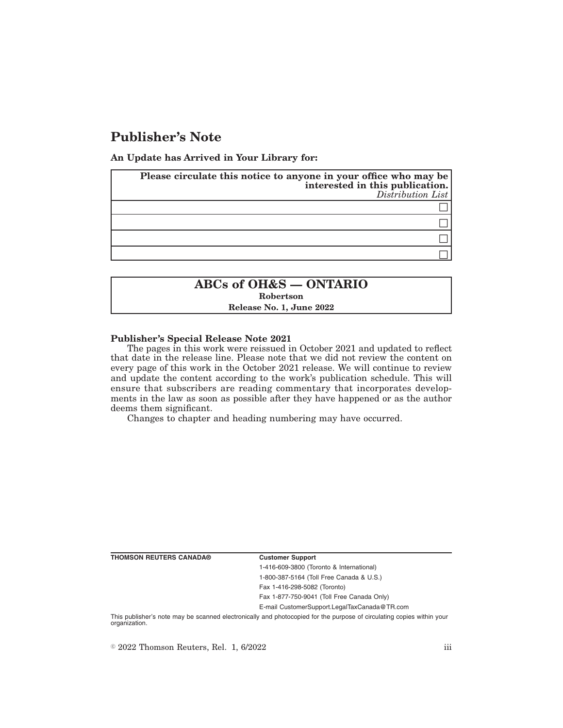# **Publisher's Note**

**An Update has Arrived in Your Library for:**

| Please circulate this notice to anyone in your office who may be<br>interested in this publication.<br>Distribution List |
|--------------------------------------------------------------------------------------------------------------------------|
|                                                                                                                          |
|                                                                                                                          |
|                                                                                                                          |
|                                                                                                                          |

# **ABCs of OH&S — ONTARIO**

**Robertson**

**Release No. 1, June 2022**

#### **Publisher's Special Release Note 2021**

The pages in this work were reissued in October 2021 and updated to reflect that date in the release line. Please note that we did not review the content on every page of this work in the October 2021 release. We will continue to review and update the content according to the work's publication schedule. This will ensure that subscribers are reading commentary that incorporates developments in the law as soon as possible after they have happened or as the author deems them significant.

Changes to chapter and heading numbering may have occurred.

| <b>THOMSON REUTERS CANADA®</b> | <b>Customer Support</b>                                                                                                |
|--------------------------------|------------------------------------------------------------------------------------------------------------------------|
|                                | 1-416-609-3800 (Toronto & International)                                                                               |
|                                | 1-800-387-5164 (Toll Free Canada & U.S.)                                                                               |
|                                | Fax 1-416-298-5082 (Toronto)                                                                                           |
|                                | Fax 1-877-750-9041 (Toll Free Canada Only)                                                                             |
|                                | E-mail CustomerSupport.LegalTaxCanada@TR.com                                                                           |
|                                | This publisher's note moy be connected protropically and photogoniad for the purpose of circulating conice within your |

cally and photocopied for the purpose of circulating copies within your organization.

 $\degree$  2022 Thomson Reuters, Rel. 1, 6/2022 iii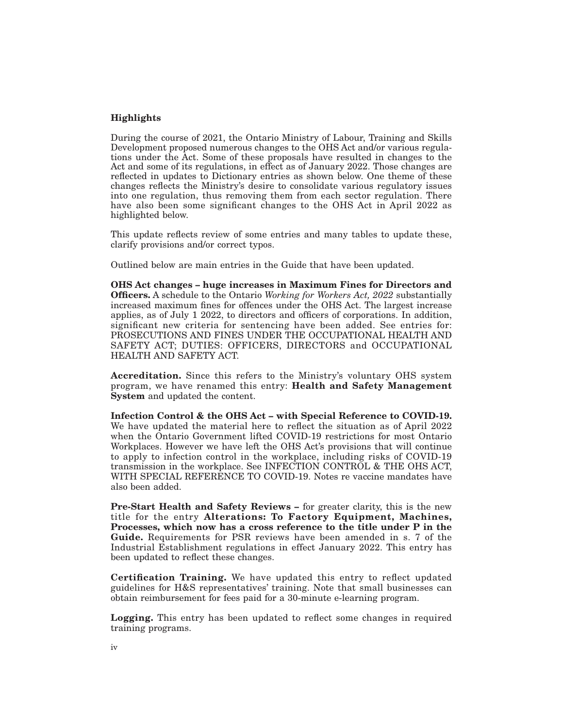### **Highlights**

During the course of 2021, the Ontario Ministry of Labour, Training and Skills Development proposed numerous changes to the OHS Act and/or various regulations under the Act. Some of these proposals have resulted in changes to the Act and some of its regulations, in effect as of January 2022. Those changes are reflected in updates to Dictionary entries as shown below. One theme of these changes reflects the Ministry's desire to consolidate various regulatory issues into one regulation, thus removing them from each sector regulation. There have also been some significant changes to the OHS Act in April 2022 as highlighted below.

This update reflects review of some entries and many tables to update these, clarify provisions and/or correct typos.

Outlined below are main entries in the Guide that have been updated.

**OHS Act changes – huge increases in Maximum Fines for Directors and Officers.** A schedule to the Ontario *Working for Workers Act, 2022* substantially increased maximum fines for offences under the OHS Act. The largest increase applies, as of July 1 2022, to directors and officers of corporations. In addition, significant new criteria for sentencing have been added. See entries for: PROSECUTIONS AND FINES UNDER THE OCCUPATIONAL HEALTH AND SAFETY ACT; DUTIES: OFFICERS, DIRECTORS and OCCUPATIONAL HEALTH AND SAFETY ACT.

**Accreditation.** Since this refers to the Ministry's voluntary OHS system program, we have renamed this entry: **Health and Safety Management System** and updated the content.

**Infection Control & the OHS Act – with Special Reference to COVID-19.** We have updated the material here to reflect the situation as of April 2022 when the Ontario Government lifted COVID-19 restrictions for most Ontario Workplaces. However we have left the OHS Act's provisions that will continue to apply to infection control in the workplace, including risks of COVID-19 transmission in the workplace. See INFECTION CONTROL & THE OHS ACT, WITH SPECIAL REFERENCE TO COVID-19. Notes re vaccine mandates have also been added.

**Pre-Start Health and Safety Reviews –** for greater clarity, this is the new title for the entry **Alterations: To Factory Equipment, Machines, Processes, which now has a cross reference to the title under P in the Guide.** Requirements for PSR reviews have been amended in s. 7 of the Industrial Establishment regulations in effect January 2022. This entry has been updated to reflect these changes.

**Certification Training.** We have updated this entry to reflect updated guidelines for H&S representatives' training. Note that small businesses can obtain reimbursement for fees paid for a 30-minute e-learning program.

**Logging.** This entry has been updated to reflect some changes in required training programs.